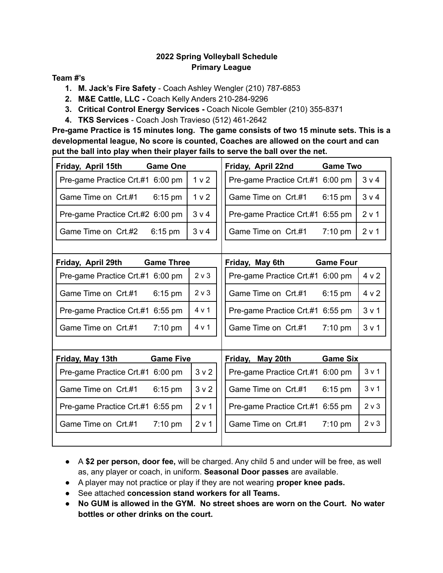### **2022 Spring Volleyball Schedule Primary League**

#### **Team #'s**

- **1. M. Jack's Fire Safety** Coach Ashley Wengler (210) 787-6853
- **2. M&E Cattle, LLC -** Coach Kelly Anders 210-284-9296
- **3. Critical Control Energy Services -** Coach Nicole Gembler (210) 355-8371
- **4. TKS Services** Coach Josh Travieso (512) 461-2642

**Pre-game Practice is 15 minutes long. The game consists of two 15 minute sets. This is a developmental league, No score is counted, Coaches are allowed on the court and can put the ball into play when their player fails to serve the ball over the net.**

| Friday, April 15th               | <b>Game One</b>   |                  | Friday, April 22nd               | <b>Game Two</b>   |                  |
|----------------------------------|-------------------|------------------|----------------------------------|-------------------|------------------|
| Pre-game Practice Crt.#1 6:00 pm |                   | 1 <sub>v</sub> 2 | Pre-game Practice Crt.#1 6:00 pm |                   | 3 v 4            |
| Game Time on Crt.#1              | $6:15$ pm         | 1 <sub>v</sub> 2 | Game Time on Crt.#1              | 6:15 pm           | 3 v 4            |
| Pre-game Practice Crt.#2 6:00 pm |                   | 3 v 4            | Pre-game Practice Crt.#1 6:55 pm |                   | 2 v 1            |
| Game Time on Crt.#2              | $6:15$ pm         | 3 v 4            | Game Time on Crt.#1              | $7:10$ pm         | 2 v 1            |
|                                  |                   |                  |                                  |                   |                  |
| Friday, April 29th               | <b>Game Three</b> |                  | Friday, May 6th                  | <b>Game Four</b>  |                  |
| Pre-game Practice Crt.#1 6:00 pm |                   | 2 v 3            | Pre-game Practice Crt.#1 6:00 pm |                   | 4 v 2            |
| Game Time on Crt.#1              | $6:15$ pm         | $2 \vee 3$       | Game Time on Crt.#1              | $6:15$ pm         | 4 v 2            |
| Pre-game Practice Crt.#1 6:55 pm |                   | 4 v 1            | Pre-game Practice Crt.#1 6:55 pm |                   | 3 <sub>v</sub> 1 |
| Game Time on Crt.#1              | $7:10$ pm         | 4 v 1            | Game Time on Crt.#1              | $7:10 \text{ pm}$ | 3 v 1            |
|                                  |                   |                  |                                  |                   |                  |
| Friday, May 13th                 | <b>Game Five</b>  |                  | Friday, May 20th                 | <b>Game Six</b>   |                  |
| Pre-game Practice Crt.#1 6:00 pm |                   | 3 <sub>v</sub> 2 | Pre-game Practice Crt.#1 6:00 pm |                   | 3 <sub>v</sub> 1 |
| Game Time on Crt.#1              | $6:15$ pm         | 3 <sub>v</sub> 2 | Game Time on Crt.#1              | $6:15$ pm         | 3 v 1            |
| Pre-game Practice Crt.#1         | $6:55$ pm         | 2 v 1            | Pre-game Practice Crt.#1 6:55 pm |                   | $2 \vee 3$       |
| Game Time on Crt.#1              | 7:10 pm           | 2 v 1            | Game Time on Crt.#1              | $7:10$ pm         | 2 v 3            |
|                                  |                   |                  |                                  |                   |                  |

- A **\$2 per person, door fee,** will be charged. Any child 5 and under will be free, as well as, any player or coach, in uniform. **Seasonal Door passes** are available.
- A player may not practice or play if they are not wearing **proper knee pads.**
- See attached **concession stand workers for all Teams.**
- **No GUM is allowed in the GYM. No street shoes are worn on the Court. No water bottles or other drinks on the court.**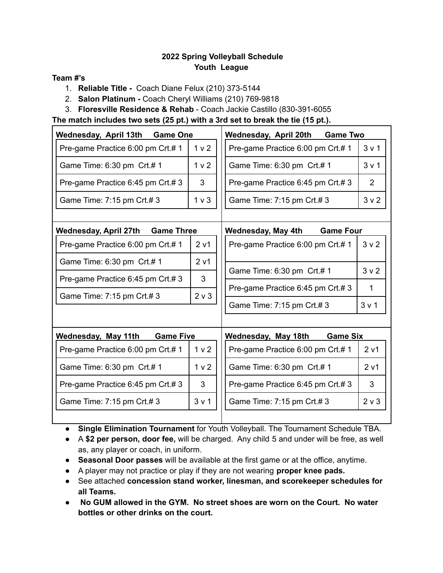### **2022 Spring Volleyball Schedule Youth League**

#### **Team #'s**

- 1. **Reliable Title -** Coach Diane Felux (210) 373-5144
- 2. **Salon Platinum -** Coach Cheryl Williams (210) 769-9818
- 3. **Floresville Residence & Rehab** Coach Jackie Castillo (830-391-6055

**The match includes two sets (25 pt.) with a 3rd set to break the tie (15 pt.).**

| Wednesday, April 13th<br><b>Game One</b>   |                  | <b>Game Two</b><br>Wednesday, April 20th |                  |
|--------------------------------------------|------------------|------------------------------------------|------------------|
| Pre-game Practice 6:00 pm Crt.# 1          | 1 <sub>v</sub> 2 | Pre-game Practice 6:00 pm Crt.# 1        | 3 <sub>v</sub> 1 |
| Game Time: 6:30 pm Crt.# 1                 |                  | Game Time: 6:30 pm Crt.# 1               | 3 <sub>v</sub> 1 |
| Pre-game Practice 6:45 pm Crt.#3           | 3                | Pre-game Practice 6:45 pm Crt.#3         | $\overline{2}$   |
| Game Time: 7:15 pm Crt.#3                  | 1 <sub>v</sub>   | Game Time: 7:15 pm Crt.#3                | 3 <sub>v</sub> 2 |
| Wednesday, April 27th<br><b>Game Three</b> |                  | <b>Game Four</b><br>Wednesday, May 4th   |                  |
| Pre-game Practice 6:00 pm Crt.# 1          | 2 v1             | Pre-game Practice 6:00 pm Crt.# 1        | 3 <sub>v</sub> 2 |
| Game Time: 6:30 pm Crt.# 1                 | 2 <sub>v1</sub>  |                                          |                  |
| Pre-game Practice 6:45 pm Crt.#3           | 3                | Game Time: 6:30 pm Crt.# 1               | 3 <sub>v</sub> 2 |
| Game Time: 7:15 pm Crt.#3                  | 2 v 3            | Pre-game Practice 6:45 pm Crt.#3         | 1                |
|                                            |                  | Game Time: 7:15 pm Crt.# 3               | 3 <sub>v</sub> 1 |
| Wednesday, May 11th<br><b>Game Five</b>    |                  | Wednesday, May 18th<br><b>Game Six</b>   |                  |
| Pre-game Practice 6:00 pm Crt.# 1          | 1 <sub>v</sub> 2 | Pre-game Practice 6:00 pm Crt.# 1        | 2 <sub>v1</sub>  |
| Game Time: 6:30 pm Crt.# 1                 | 1 <sub>v</sub> 2 | Game Time: 6:30 pm Crt.# 1               | 2 <sub>v1</sub>  |
| Pre-game Practice 6:45 pm Crt.# 3          | 3                | Pre-game Practice 6:45 pm Crt.#3         | 3                |
| Game Time: 7:15 pm Crt.#3                  | 3 <sub>v</sub> 1 | Game Time: 7:15 pm Crt.# 3               | $2 \vee 3$       |
|                                            |                  |                                          |                  |

- **Single Elimination Tournament** for Youth Volleyball. The Tournament Schedule TBA.
- A **\$2 per person, door fee,** will be charged. Any child 5 and under will be free, as well as, any player or coach, in uniform.
- **Seasonal Door passes** will be available at the first game or at the office, anytime.
- A player may not practice or play if they are not wearing **proper knee pads.**
- See attached **concession stand worker, linesman, and scorekeeper schedules for all Teams.**
- **No GUM allowed in the GYM. No street shoes are worn on the Court. No water bottles or other drinks on the court.**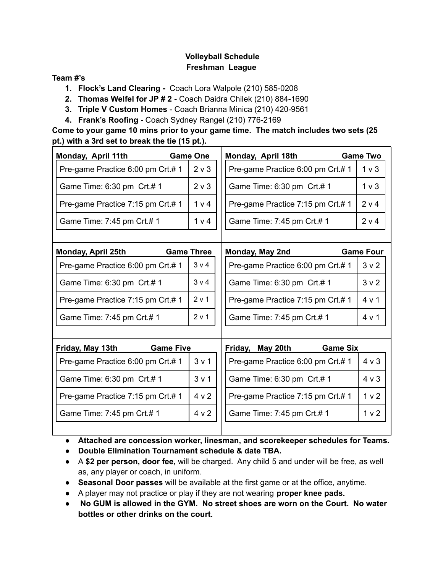### **Volleyball Schedule Freshman League**

#### **Team #'s**

- **1. Flock's Land Clearing -** Coach Lora Walpole (210) 585-0208
- **2. Thomas Welfel for JP # 2 -** Coach Daidra Chilek (210) 884-1690
- **3. Triple V Custom Homes** Coach Brianna Minica (210) 420-9561
- **4. Frank's Roofing -** Coach Sydney Rangel (210) 776-2169

**Come to your game 10 mins prior to your game time. The match includes two sets (25 pt.) with a 3rd set to break the tie (15 pt.).**

| Monday, April 11th                | <b>Game One</b>   | Monday, April 18th                     | <b>Game Two</b>  |
|-----------------------------------|-------------------|----------------------------------------|------------------|
| Pre-game Practice 6:00 pm Crt.# 1 |                   | Pre-game Practice 6:00 pm Crt.# 1      | 1 <sub>v</sub>   |
| Game Time: 6:30 pm Crt.# 1        | $2 \vee 3$        | Game Time: 6:30 pm Crt.# 1             | $1v$ 3           |
| Pre-game Practice 7:15 pm Crt.# 1 | 1 <sub>v</sub> 4  | Pre-game Practice 7:15 pm Crt.# 1      | 2 v 4            |
| Game Time: 7:45 pm Crt.# 1        | 1 v 4             | Game Time: 7:45 pm Crt.# 1             | 2 v 4            |
|                                   |                   |                                        |                  |
| Monday, April 25th                | <b>Game Three</b> | Monday, May 2nd                        | <b>Game Four</b> |
| Pre-game Practice 6:00 pm Crt.# 1 | $3 \vee 4$        | Pre-game Practice 6:00 pm Crt.# 1      | 3 <sub>v</sub> 2 |
| Game Time: 6:30 pm Crt.# 1        | 3 <sub>v</sub> 4  | Game Time: 6:30 pm Crt.# 1             | 3 <sub>v</sub> 2 |
| Pre-game Practice 7:15 pm Crt.# 1 | 2 v 1             | Pre-game Practice 7:15 pm Crt.# 1      | 4 v 1            |
| Game Time: 7:45 pm Crt.# 1        | 2 v 1             | Game Time: 7:45 pm Crt.# 1             | 4 v 1            |
|                                   |                   |                                        |                  |
| Friday, May 13th                  | <b>Game Five</b>  | <b>Game Six</b><br>Friday,<br>May 20th |                  |
| Pre-game Practice 6:00 pm Crt.# 1 | 3 <sub>v</sub> 1  | Pre-game Practice 6:00 pm Crt.# 1      | $4 \vee 3$       |
| Game Time: 6:30 pm Crt.# 1        | 3 <sub>v</sub> 1  | Game Time: 6:30 pm Crt.# 1             | $4 \vee 3$       |
| Pre-game Practice 7:15 pm Crt.# 1 |                   | Pre-game Practice 7:15 pm Crt.# 1      | 1 <sub>v</sub> 2 |
| Game Time: 7:45 pm Crt.# 1        | 4 v 2             | Game Time: 7:45 pm Crt.# 1             | 1 <sub>v</sub> 2 |
|                                   |                   |                                        |                  |

● **Attached are concession worker, linesman, and scorekeeper schedules for Teams.**

- **Double Elimination Tournament schedule & date TBA.**
- A **\$2 per person, door fee,** will be charged. Any child 5 and under will be free, as well as, any player or coach, in uniform.
- **Seasonal Door passes** will be available at the first game or at the office, anytime.
- A player may not practice or play if they are not wearing **proper knee pads.**
- **No GUM is allowed in the GYM. No street shoes are worn on the Court. No water bottles or other drinks on the court.**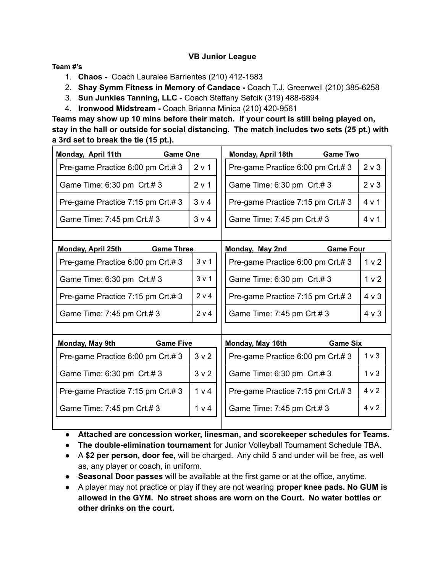#### **VB Junior League**

#### **Team #'s**

- 1. **Chaos -** Coach Lauralee Barrientes (210) 412-1583
- 2. **Shay Symm Fitness in Memory of Candace -** Coach T.J. Greenwell (210) 385-6258
- 3. **Sun Junkies Tanning, LLC** Coach Steffany Sefcik (319) 488-6894
- 4. **Ironwood Midstream -** Coach Brianna Minica (210) 420-9561

**Teams may show up 10 mins before their match. If your court is still being played on, stay in the hall or outside for social distancing. The match includes two sets (25 pt.) with a 3rd set to break the tie (15 pt.).**

| Monday, April 11th                | <b>Game One</b>   |                  | Monday, April 18th                | <b>Game Two</b>  |                  |
|-----------------------------------|-------------------|------------------|-----------------------------------|------------------|------------------|
| Pre-game Practice 6:00 pm Crt.#3  |                   | 2 v 1            | Pre-game Practice 6:00 pm Crt.#3  |                  | $2 \vee 3$       |
| Game Time: 6:30 pm Crt.#3         |                   | 2 v 1            | Game Time: 6:30 pm Crt.#3         |                  | $2 \vee 3$       |
| Pre-game Practice 7:15 pm Crt.#3  |                   | 3 v 4            | Pre-game Practice 7:15 pm Crt.#3  |                  | 4 v 1            |
| Game Time: 7:45 pm Crt.#3         |                   | 3 v 4            | Game Time: 7:45 pm Crt.#3         |                  | 4 v 1            |
|                                   |                   |                  |                                   |                  |                  |
| <b>Monday, April 25th</b>         | <b>Game Three</b> |                  | Monday, May 2nd                   | <b>Game Four</b> |                  |
| Pre-game Practice 6:00 pm Crt.# 3 |                   | 3 v 1            | Pre-game Practice 6:00 pm Crt.# 3 |                  | 1 <sub>v</sub> 2 |
| Game Time: 6:30 pm Crt.#3         |                   | 3 <sub>v</sub> 1 | Game Time: 6:30 pm Crt.#3         |                  | 1 <sub>v</sub> 2 |
| Pre-game Practice 7:15 pm Crt.#3  |                   | 2 v 4            | Pre-game Practice 7:15 pm Crt.#3  |                  | $4 \vee 3$       |
| Game Time: 7:45 pm Crt.# 3        |                   | 2 v 4            | Game Time: 7:45 pm Crt.#3         |                  | $4 \vee 3$       |
|                                   |                   |                  |                                   |                  |                  |
| Monday, May 9th                   | <b>Game Five</b>  |                  | Monday, May 16th                  | <b>Game Six</b>  |                  |
| Pre-game Practice 6:00 pm Crt.#3  |                   | 3 <sub>v</sub> 2 | Pre-game Practice 6:00 pm Crt.#3  |                  | $1v$ 3           |
| Game Time: 6:30 pm Crt.#3         |                   | 3 <sub>v</sub> 2 | Game Time: 6:30 pm Crt.#3         |                  | 1 <sub>v</sub>   |
| Pre-game Practice 7:15 pm Crt.#3  |                   | 1 v 4            | Pre-game Practice 7:15 pm Crt.#3  |                  | 4 <sub>v</sub> 2 |
| Game Time: 7:45 pm Crt.#3         |                   | 1 v 4            | Game Time: 7:45 pm Crt.#3         |                  | 4 v 2            |
|                                   |                   |                  |                                   |                  |                  |

- **Attached are concession worker, linesman, and scorekeeper schedules for Teams.**
- **The double-elimination tournament** for Junior Volleyball Tournament Schedule TBA.
- A **\$2 per person, door fee,** will be charged. Any child 5 and under will be free, as well as, any player or coach, in uniform.
- **Seasonal Door passes** will be available at the first game or at the office, anytime.
- A player may not practice or play if they are not wearing **proper knee pads. No GUM is allowed in the GYM. No street shoes are worn on the Court. No water bottles or other drinks on the court.**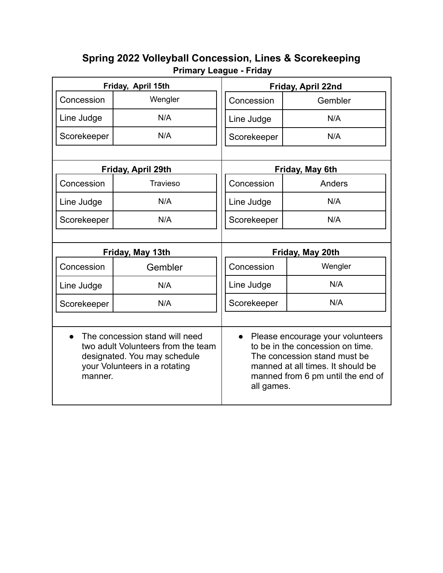# **Spring 2022 Volleyball Concession, Lines & Scorekeeping Primary League - Friday**

| Friday, April 15th   |                                                                                                                                       | Friday, April 22nd      |                                                                                                                                                                                |  |
|----------------------|---------------------------------------------------------------------------------------------------------------------------------------|-------------------------|--------------------------------------------------------------------------------------------------------------------------------------------------------------------------------|--|
| Concession           | Wengler                                                                                                                               | Concession              | Gembler                                                                                                                                                                        |  |
| Line Judge           | N/A                                                                                                                                   | Line Judge              | N/A                                                                                                                                                                            |  |
| Scorekeeper          | N/A                                                                                                                                   | Scorekeeper             | N/A                                                                                                                                                                            |  |
|                      |                                                                                                                                       |                         |                                                                                                                                                                                |  |
|                      | Friday, April 29th                                                                                                                    |                         | Friday, May 6th                                                                                                                                                                |  |
| Concession           | <b>Travieso</b>                                                                                                                       | Concession              | Anders                                                                                                                                                                         |  |
| Line Judge           | N/A                                                                                                                                   | Line Judge              | N/A                                                                                                                                                                            |  |
| Scorekeeper          | N/A                                                                                                                                   | Scorekeeper             | N/A                                                                                                                                                                            |  |
|                      |                                                                                                                                       |                         |                                                                                                                                                                                |  |
| Friday, May 13th     |                                                                                                                                       | Friday, May 20th        |                                                                                                                                                                                |  |
| Concession           | Gembler                                                                                                                               | Concession              | Wengler                                                                                                                                                                        |  |
| Line Judge           | N/A                                                                                                                                   | Line Judge              | N/A                                                                                                                                                                            |  |
| Scorekeeper          | N/A                                                                                                                                   | Scorekeeper             | N/A                                                                                                                                                                            |  |
|                      |                                                                                                                                       |                         |                                                                                                                                                                                |  |
| $\bullet$<br>manner. | The concession stand will need<br>two adult Volunteers from the team<br>designated. You may schedule<br>your Volunteers in a rotating | $\bullet$<br>all games. | Please encourage your volunteers<br>to be in the concession on time.<br>The concession stand must be<br>manned at all times. It should be<br>manned from 6 pm until the end of |  |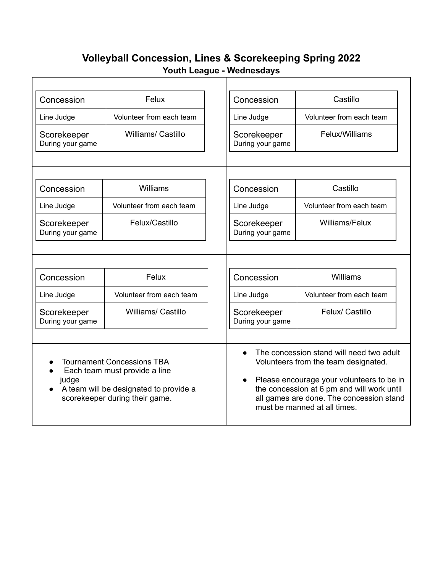# **Volleyball Concession, Lines & Scorekeeping Spring 2022 Youth League - Wednesdays**

| Concession                                                                                                                                              | Felux                     |                                                                                                                                                                                                                                                         | Concession                      | Castillo                 |
|---------------------------------------------------------------------------------------------------------------------------------------------------------|---------------------------|---------------------------------------------------------------------------------------------------------------------------------------------------------------------------------------------------------------------------------------------------------|---------------------------------|--------------------------|
| Line Judge                                                                                                                                              | Volunteer from each team  |                                                                                                                                                                                                                                                         | Line Judge                      | Volunteer from each team |
| Scorekeeper<br>During your game                                                                                                                         | <b>Williams/ Castillo</b> |                                                                                                                                                                                                                                                         | Scorekeeper<br>During your game | Felux/Williams           |
|                                                                                                                                                         |                           |                                                                                                                                                                                                                                                         |                                 |                          |
| Concession                                                                                                                                              | Williams                  |                                                                                                                                                                                                                                                         | Concession                      | Castillo                 |
| Line Judge                                                                                                                                              | Volunteer from each team  |                                                                                                                                                                                                                                                         | Line Judge                      | Volunteer from each team |
| Scorekeeper<br>During your game                                                                                                                         | Felux/Castillo            |                                                                                                                                                                                                                                                         | Scorekeeper<br>During your game | Williams/Felux           |
|                                                                                                                                                         |                           |                                                                                                                                                                                                                                                         |                                 |                          |
| Concession                                                                                                                                              | Felux                     |                                                                                                                                                                                                                                                         | Concession                      | Williams                 |
| Line Judge                                                                                                                                              | Volunteer from each team  |                                                                                                                                                                                                                                                         | Line Judge                      | Volunteer from each team |
| Scorekeeper<br>During your game                                                                                                                         | <b>Williams/ Castillo</b> |                                                                                                                                                                                                                                                         | Scorekeeper<br>During your game | Felux/ Castillo          |
| <b>Tournament Concessions TBA</b><br>Each team must provide a line<br>judge<br>A team will be designated to provide a<br>scorekeeper during their game. |                           | The concession stand will need two adult<br>Volunteers from the team designated.<br>Please encourage your volunteers to be in<br>the concession at 6 pm and will work until<br>all games are done. The concession stand<br>must be manned at all times. |                                 |                          |